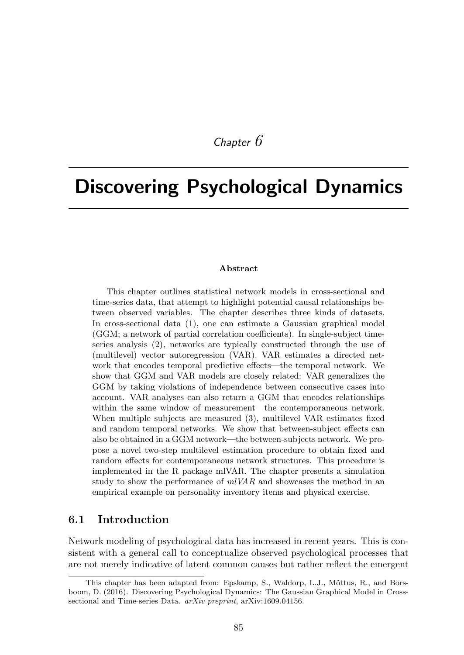# *Chapter 6*

# Discovering Psychological Dynamics

#### Abstract

This chapter outlines statistical network models in cross-sectional and time-series data, that attempt to highlight potential causal relationships between observed variables. The chapter describes three kinds of datasets. In cross-sectional data (1), one can estimate a Gaussian graphical model (GGM; a network of partial correlation coefficients). In single-subject timeseries analysis (2), networks are typically constructed through the use of (multilevel) vector autoregression (VAR). VAR estimates a directed network that encodes temporal predictive effects—the temporal network. We show that GGM and VAR models are closely related: VAR generalizes the GGM by taking violations of independence between consecutive cases into account. VAR analyses can also return a GGM that encodes relationships within the same window of measurement—the contemporaneous network. When multiple subjects are measured (3), multilevel VAR estimates fixed and random temporal networks. We show that between-subject effects can also be obtained in a GGM network—the between-subjects network. We propose a novel two-step multilevel estimation procedure to obtain fixed and random effects for contemporaneous network structures. This procedure is implemented in the R package mlVAR. The chapter presents a simulation study to show the performance of *mlVAR* and showcases the method in an empirical example on personality inventory items and physical exercise.

#### 6.1 Introduction

Network modeling of psychological data has increased in recent years. This is consistent with a general call to conceptualize observed psychological processes that are not merely indicative of latent common causes but rather reflect the emergent

This chapter has been adapted from: Epskamp, S., Waldorp, L.J., Mõttus, R., and Borsboom, D. (2016). Discovering Psychological Dynamics: The Gaussian Graphical Model in Crosssectional and Time-series Data. *arXiv preprint*, arXiv:1609.04156.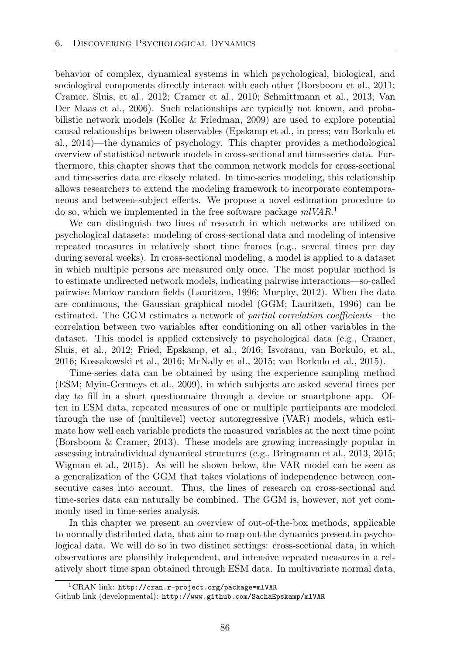behavior of complex, dynamical systems in which psychological, biological, and sociological components directly interact with each other (Borsboom et al., 2011; Cramer, Sluis, et al., 2012; Cramer et al., 2010; Schmittmann et al., 2013; Van Der Maas et al., 2006). Such relationships are typically not known, and probabilistic network models (Koller & Friedman, 2009) are used to explore potential causal relationships between observables (Epskamp et al., in press; van Borkulo et al., 2014)—the dynamics of psychology. This chapter provides a methodological overview of statistical network models in cross-sectional and time-series data. Furthermore, this chapter shows that the common network models for cross-sectional and time-series data are closely related. In time-series modeling, this relationship allows researchers to extend the modeling framework to incorporate contemporaneous and between-subject effects. We propose a novel estimation procedure to do so, which we implemented in the free software package *mlVAR*. 1

We can distinguish two lines of research in which networks are utilized on psychological datasets: modeling of cross-sectional data and modeling of intensive repeated measures in relatively short time frames (e.g., several times per day during several weeks). In cross-sectional modeling, a model is applied to a dataset in which multiple persons are measured only once. The most popular method is to estimate undirected network models, indicating pairwise interactions—so-called pairwise Markov random fields (Lauritzen, 1996; Murphy, 2012). When the data are continuous, the Gaussian graphical model (GGM; Lauritzen, 1996) can be estimated. The GGM estimates a network of *partial correlation coefficients*—the correlation between two variables after conditioning on all other variables in the dataset. This model is applied extensively to psychological data (e.g., Cramer, Sluis, et al., 2012; Fried, Epskamp, et al., 2016; Isvoranu, van Borkulo, et al., 2016; Kossakowski et al., 2016; McNally et al., 2015; van Borkulo et al., 2015).

Time-series data can be obtained by using the experience sampling method (ESM; Myin-Germeys et al., 2009), in which subjects are asked several times per day to fill in a short questionnaire through a device or smartphone app. Often in ESM data, repeated measures of one or multiple participants are modeled through the use of (multilevel) vector autoregressive (VAR) models, which estimate how well each variable predicts the measured variables at the next time point (Borsboom & Cramer, 2013). These models are growing increasingly popular in assessing intraindividual dynamical structures (e.g., Bringmann et al., 2013, 2015; Wigman et al., 2015). As will be shown below, the VAR model can be seen as a generalization of the GGM that takes violations of independence between consecutive cases into account. Thus, the lines of research on cross-sectional and time-series data can naturally be combined. The GGM is, however, not yet commonly used in time-series analysis.

In this chapter we present an overview of out-of-the-box methods, applicable to normally distributed data, that aim to map out the dynamics present in psychological data. We will do so in two distinct settings: cross-sectional data, in which observations are plausibly independent, and intensive repeated measures in a relatively short time span obtained through ESM data. In multivariate normal data,

<sup>1</sup>CRAN link: http://cran.r-project.org/package=mlVAR Github link (developmental): http://www.github.com/SachaEpskamp/mlVAR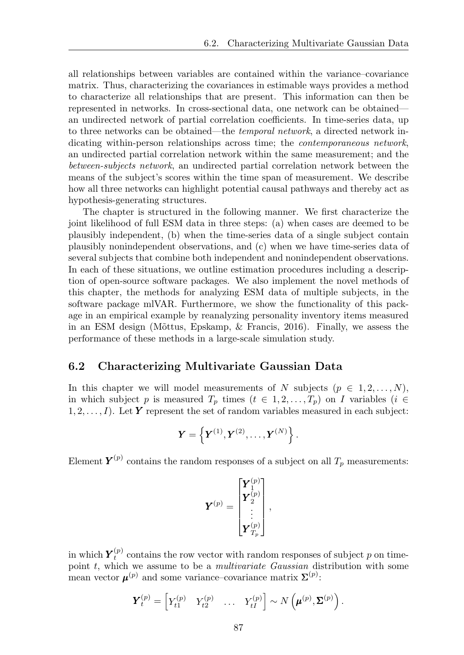all relationships between variables are contained within the variance–covariance matrix. Thus, characterizing the covariances in estimable ways provides a method to characterize all relationships that are present. This information can then be represented in networks. In cross-sectional data, one network can be obtained an undirected network of partial correlation coefficients. In time-series data, up to three networks can be obtained—the *temporal network*, a directed network indicating within-person relationships across time; the *contemporaneous network*, an undirected partial correlation network within the same measurement; and the *between-subjects network*, an undirected partial correlation network between the means of the subject's scores within the time span of measurement. We describe how all three networks can highlight potential causal pathways and thereby act as hypothesis-generating structures.

The chapter is structured in the following manner. We first characterize the joint likelihood of full ESM data in three steps: (a) when cases are deemed to be plausibly independent, (b) when the time-series data of a single subject contain plausibly nonindependent observations, and (c) when we have time-series data of several subjects that combine both independent and nonindependent observations. In each of these situations, we outline estimation procedures including a description of open-source software packages. We also implement the novel methods of this chapter, the methods for analyzing ESM data of multiple subjects, in the software package mlVAR. Furthermore, we show the functionality of this package in an empirical example by reanalyzing personality inventory items measured in an ESM design (Mõttus, Epskamp,  $\&$  Francis, 2016). Finally, we assess the performance of these methods in a large-scale simulation study.

#### 6.2 Characterizing Multivariate Gaussian Data

In this chapter we will model measurements of *N* subjects  $(p \in 1, 2, \ldots, N)$ , in which subject *p* is measured  $T_p$  times  $(t \in 1, 2, \ldots, T_p)$  on *I* variables  $(i \in$  $1, 2, \ldots, I$ ). Let **Y** represent the set of random variables measured in each subject:

$$
\boldsymbol{Y} = \left\{\boldsymbol{Y}^{(1)}, \boldsymbol{Y}^{(2)}, \ldots, \boldsymbol{Y}^{(N)}\right\}.
$$

Element  $Y^{(p)}$  contains the random responses of a subject on all  $T_p$  measurements:

$$
\boldsymbol{Y}^{(p)} = \begin{bmatrix} \boldsymbol{Y}_1^{(p)} \\ \boldsymbol{Y}_2^{(p)} \\ \vdots \\ \boldsymbol{Y}_{T_p}^{(p)} \end{bmatrix},
$$

in which  $Y_t^{(p)}$  contains the row vector with random responses of subject *p* on timepoint *t*, which we assume to be a *multivariate Gaussian* distribution with some mean vector  $\boldsymbol{\mu}^{(p)}$  and some variance–covariance matrix  $\mathbf{\Sigma}^{(p)}$ :

$$
\boldsymbol{Y}_t^{(p)} = \begin{bmatrix} Y_{t1}^{(p)} & Y_{t2}^{(p)} & \dots & Y_{tI}^{(p)} \end{bmatrix} \sim N\left(\boldsymbol{\mu}^{(p)}, \boldsymbol{\Sigma}^{(p)}\right).
$$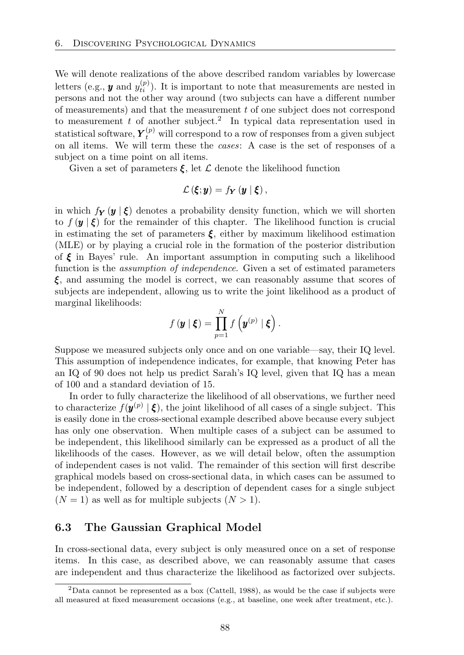We will denote realizations of the above described random variables by lowercase letters (e.g.,  $y$  and  $y_{ti}^{(p)}$ ). It is important to note that measurements are nested in persons and not the other way around (two subjects can have a different number of measurements) and that the measurement *t* of one subject does not correspond to measurement  $t$  of another subject.<sup>2</sup> In typical data representation used in statistical software,  $Y_t^{(p)}$  will correspond to a row of responses from a given subject on all items. We will term these the *cases*: A case is the set of responses of a subject on a time point on all items.

Given a set of parameters  $\xi$ , let  $\mathcal L$  denote the likelihood function

$$
\mathcal{L}\left(\boldsymbol{\xi};\boldsymbol{y}\right)=f_{\boldsymbol{Y}}\left(\boldsymbol{y}\mid\boldsymbol{\xi}\right),
$$

in which  $f_Y(y \mid \xi)$  denotes a probability density function, which we will shorten to  $f(\mathbf{y} \mid \boldsymbol{\xi})$  for the remainder of this chapter. The likelihood function is crucial in estimating the set of parameters  $\xi$ , either by maximum likelihood estimation (MLE) or by playing a crucial role in the formation of the posterior distribution of  $\xi$  in Bayes' rule. An important assumption in computing such a likelihood function is the *assumption of independence*. Given a set of estimated parameters *⇠*, and assuming the model is correct, we can reasonably assume that scores of subjects are independent, allowing us to write the joint likelihood as a product of marginal likelihoods:

$$
f(\boldsymbol{y} \mid \boldsymbol{\xi}) = \prod_{p=1}^N f\left(\boldsymbol{y}^{(p)} \mid \boldsymbol{\xi}\right).
$$

Suppose we measured subjects only once and on one variable—say, their IQ level. This assumption of independence indicates, for example, that knowing Peter has an IQ of 90 does not help us predict Sarah's IQ level, given that IQ has a mean of 100 and a standard deviation of 15.

In order to fully characterize the likelihood of all observations, we further need to characterize  $f(\mathbf{y}^{(p)} | \xi)$ , the joint likelihood of all cases of a single subject. This is easily done in the cross-sectional example described above because every subject has only one observation. When multiple cases of a subject can be assumed to be independent, this likelihood similarly can be expressed as a product of all the likelihoods of the cases. However, as we will detail below, often the assumption of independent cases is not valid. The remainder of this section will first describe graphical models based on cross-sectional data, in which cases can be assumed to be independent, followed by a description of dependent cases for a single subject  $(N = 1)$  as well as for multiple subjects  $(N > 1)$ .

#### 6.3 The Gaussian Graphical Model

In cross-sectional data, every subject is only measured once on a set of response items. In this case, as described above, we can reasonably assume that cases are independent and thus characterize the likelihood as factorized over subjects.

<sup>2</sup>Data cannot be represented as a box (Cattell, 1988), as would be the case if subjects were all measured at fixed measurement occasions (e.g., at baseline, one week after treatment, etc.).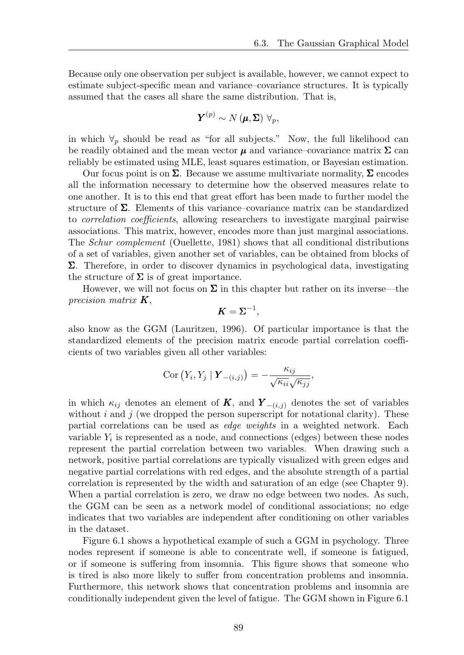Because only one observation per subject is available, however, we cannot expect to estimate subject-specific mean and variance–covariance structures. It is typically assumed that the cases all share the same distribution. That is,

$$
\boldsymbol{Y}^{(p)} \sim N\left(\boldsymbol{\mu}, \boldsymbol{\Sigma}\right) \ \forall_{p},
$$

in which  $\forall p$  should be read as "for all subjects." Now, the full likelihood can be readily obtained and the mean vector  $\mu$  and variance–covariance matrix  $\Sigma$  can reliably be estimated using MLE, least squares estimation, or Bayesian estimation.

Our focus point is on  $\Sigma$ . Because we assume multivariate normality,  $\Sigma$  encodes all the information necessary to determine how the observed measures relate to one another. It is to this end that great effort has been made to further model the structure of  $\Sigma$ . Elements of this variance–covariance matrix can be standardized to *correlation coefficients*, allowing researchers to investigate marginal pairwise associations. This matrix, however, encodes more than just marginal associations. The *Schur complement* (Ouellette, 1981) shows that all conditional distributions of a set of variables, given another set of variables, can be obtained from blocks of  $\Sigma$ . Therefore, in order to discover dynamics in psychological data, investigating the structure of  $\Sigma$  is of great importance.

However, we will not focus on  $\Sigma$  in this chapter but rather on its inverse—the *precision matrix K*,

$$
K=\Sigma^{-1},
$$

also know as the GGM (Lauritzen, 1996). Of particular importance is that the standardized elements of the precision matrix encode partial correlation coefficients of two variables given all other variables:

$$
Cor (Y_i, Y_j | \mathbf{Y}_{-(i,j)}) = -\frac{\kappa_{ij}}{\sqrt{\kappa_{ii}}\sqrt{\kappa_{jj}}},
$$

in which  $\kappa_{ij}$  denotes an element of **K**, and  $Y_{-(i,j)}$  denotes the set of variables without  $i$  and  $j$  (we dropped the person superscript for notational clarity). These partial correlations can be used as *edge weights* in a weighted network. Each variable  $Y_i$  is represented as a node, and connections (edges) between these nodes represent the partial correlation between two variables. When drawing such a network, positive partial correlations are typically visualized with green edges and negative partial correlations with red edges, and the absolute strength of a partial correlation is represented by the width and saturation of an edge (see Chapter 9). When a partial correlation is zero, we draw no edge between two nodes. As such, the GGM can be seen as a network model of conditional associations; no edge indicates that two variables are independent after conditioning on other variables in the dataset.

Figure 6.1 shows a hypothetical example of such a GGM in psychology. Three nodes represent if someone is able to concentrate well, if someone is fatigued, or if someone is suffering from insomnia. This figure shows that someone who is tired is also more likely to suffer from concentration problems and insomnia. Furthermore, this network shows that concentration problems and insomnia are conditionally independent given the level of fatigue. The GGM shown in Figure 6.1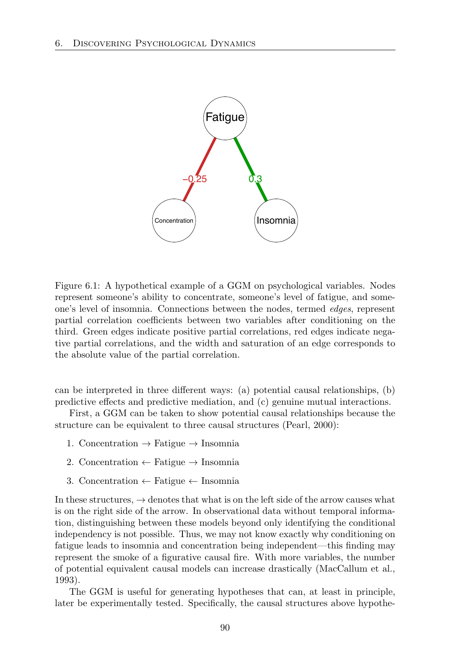

Figure 6.1: A hypothetical example of a GGM on psychological variables. Nodes represent someone's ability to concentrate, someone's level of fatigue, and someone's level of insomnia. Connections between the nodes, termed *edges*, represent partial correlation coefficients between two variables after conditioning on the third. Green edges indicate positive partial correlations, red edges indicate negative partial correlations, and the width and saturation of an edge corresponds to the absolute value of the partial correlation.

can be interpreted in three different ways: (a) potential causal relationships,  $(b)$ predictive effects and predictive mediation, and  $(c)$  genuine mutual interactions.

First, a GGM can be taken to show potential causal relationships because the structure can be equivalent to three causal structures (Pearl, 2000):

- 1. Concentration  $\rightarrow$  Fatigue  $\rightarrow$  Insomnia
- 2. Concentration  $\leftarrow$  Fatigue  $\rightarrow$  Insomnia
- 3. Concentration  $\leftarrow$  Fatigue  $\leftarrow$  Insomnia

In these structures,  $\rightarrow$  denotes that what is on the left side of the arrow causes what is on the right side of the arrow. In observational data without temporal information, distinguishing between these models beyond only identifying the conditional independency is not possible. Thus, we may not know exactly why conditioning on fatigue leads to insomnia and concentration being independent—this finding may represent the smoke of a figurative causal fire. With more variables, the number of potential equivalent causal models can increase drastically (MacCallum et al., 1993).

The GGM is useful for generating hypotheses that can, at least in principle, later be experimentally tested. Specifically, the causal structures above hypothe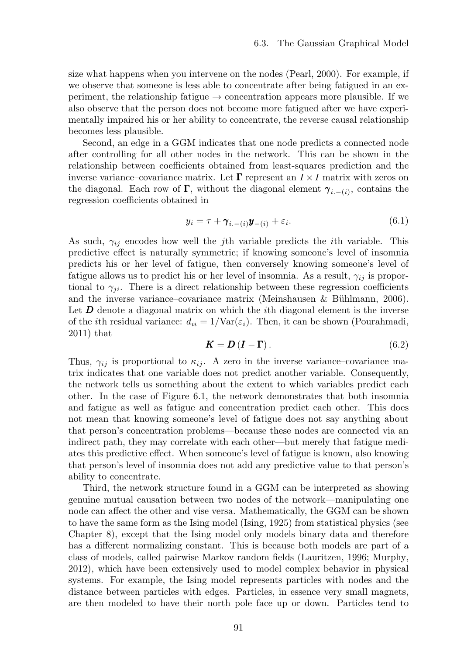size what happens when you intervene on the nodes (Pearl, 2000). For example, if we observe that someone is less able to concentrate after being fatigued in an experiment, the relationship fatigue  $\rightarrow$  concentration appears more plausible. If we also observe that the person does not become more fatigued after we have experimentally impaired his or her ability to concentrate, the reverse causal relationship becomes less plausible.

Second, an edge in a GGM indicates that one node predicts a connected node after controlling for all other nodes in the network. This can be shown in the relationship between coefficients obtained from least-squares prediction and the inverse variance–covariance matrix. Let  $\Gamma$  represent an  $I \times I$  matrix with zeros on the diagonal. Each row of  $\Gamma$ , without the diagonal element  $\gamma_{i,-(i)}$ , contains the regression coefficients obtained in

$$
y_i = \tau + \gamma_{i.-(i)} \mathbf{y}_{-(i)} + \varepsilon_i.
$$
\n(6.1)

As such,  $\gamma_{ij}$  encodes how well the *j*th variable predicts the *i*th variable. This predictive effect is naturally symmetric; if knowing someone's level of insomnia predicts his or her level of fatigue, then conversely knowing someone's level of fatigue allows us to predict his or her level of insomnia. As a result,  $\gamma_{ij}$  is proportional to  $\gamma_{ii}$ . There is a direct relationship between these regression coefficients and the inverse variance–covariance matrix (Meinshausen & Bühlmann, 2006). Let **D** denote a diagonal matrix on which the *i*th diagonal element is the inverse of the *i*th residual variance:  $d_{ii} = 1/\text{Var}(\varepsilon_i)$ . Then, it can be shown (Pourahmadi, 2011) that

$$
K = D(I - \Gamma). \tag{6.2}
$$

Thus,  $\gamma_{ij}$  is proportional to  $\kappa_{ij}$ . A zero in the inverse variance–covariance matrix indicates that one variable does not predict another variable. Consequently, the network tells us something about the extent to which variables predict each other. In the case of Figure 6.1, the network demonstrates that both insomnia and fatigue as well as fatigue and concentration predict each other. This does not mean that knowing someone's level of fatigue does not say anything about that person's concentration problems—because these nodes are connected via an indirect path, they may correlate with each other—but merely that fatigue mediates this predictive effect. When someone's level of fatigue is known, also knowing that person's level of insomnia does not add any predictive value to that person's ability to concentrate.

Third, the network structure found in a GGM can be interpreted as showing genuine mutual causation between two nodes of the network—manipulating one node can affect the other and vise versa. Mathematically, the GGM can be shown to have the same form as the Ising model (Ising, 1925) from statistical physics (see Chapter 8), except that the Ising model only models binary data and therefore has a different normalizing constant. This is because both models are part of a class of models, called pairwise Markov random fields (Lauritzen, 1996; Murphy, 2012), which have been extensively used to model complex behavior in physical systems. For example, the Ising model represents particles with nodes and the distance between particles with edges. Particles, in essence very small magnets, are then modeled to have their north pole face up or down. Particles tend to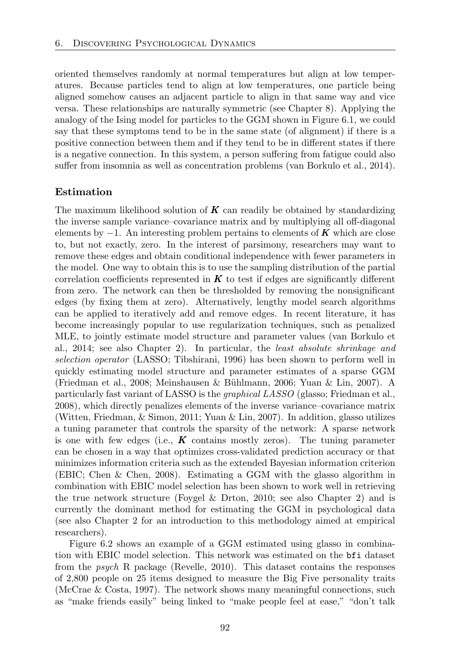oriented themselves randomly at normal temperatures but align at low temperatures. Because particles tend to align at low temperatures, one particle being aligned somehow causes an adjacent particle to align in that same way and vice versa. These relationships are naturally symmetric (see Chapter 8). Applying the analogy of the Ising model for particles to the GGM shown in Figure 6.1, we could say that these symptoms tend to be in the same state (of alignment) if there is a positive connection between them and if they tend to be in different states if there is a negative connection. In this system, a person suffering from fatigue could also suffer from insomnia as well as concentration problems (van Borkulo et al., 2014).

#### Estimation

The maximum likelihood solution of *K* can readily be obtained by standardizing the inverse sample variance–covariance matrix and by multiplying all off-diagonal elements by *−*1. An interesting problem pertains to elements of *K* which are close to, but not exactly, zero. In the interest of parsimony, researchers may want to remove these edges and obtain conditional independence with fewer parameters in the model. One way to obtain this is to use the sampling distribution of the partial correlation coefficients represented in  $K$  to test if edges are significantly different from zero. The network can then be thresholded by removing the nonsignificant edges (by fixing them at zero). Alternatively, lengthy model search algorithms can be applied to iteratively add and remove edges. In recent literature, it has become increasingly popular to use regularization techniques, such as penalized MLE, to jointly estimate model structure and parameter values (van Borkulo et al., 2014; see also Chapter 2). In particular, the *least absolute shrinkage and selection operator* (LASSO; Tibshirani, 1996) has been shown to perform well in quickly estimating model structure and parameter estimates of a sparse GGM (Friedman et al., 2008; Meinshausen & Bühlmann, 2006; Yuan & Lin, 2007). A particularly fast variant of LASSO is the *graphical LASSO* (glasso; Friedman et al., 2008), which directly penalizes elements of the inverse variance–covariance matrix (Witten, Friedman, & Simon, 2011; Yuan & Lin, 2007). In addition, glasso utilizes a tuning parameter that controls the sparsity of the network: A sparse network is one with few edges (i.e.,  $K$  contains mostly zeros). The tuning parameter can be chosen in a way that optimizes cross-validated prediction accuracy or that minimizes information criteria such as the extended Bayesian information criterion (EBIC; Chen & Chen, 2008). Estimating a GGM with the glasso algorithm in combination with EBIC model selection has been shown to work well in retrieving the true network structure (Foygel  $\&$  Drton, 2010; see also Chapter 2) and is currently the dominant method for estimating the GGM in psychological data (see also Chapter 2 for an introduction to this methodology aimed at empirical researchers).

Figure 6.2 shows an example of a GGM estimated using glasso in combination with EBIC model selection. This network was estimated on the bfi dataset from the *psych* R package (Revelle, 2010). This dataset contains the responses of 2*,*800 people on 25 items designed to measure the Big Five personality traits (McCrae & Costa, 1997). The network shows many meaningful connections, such as "make friends easily" being linked to "make people feel at ease," "don't talk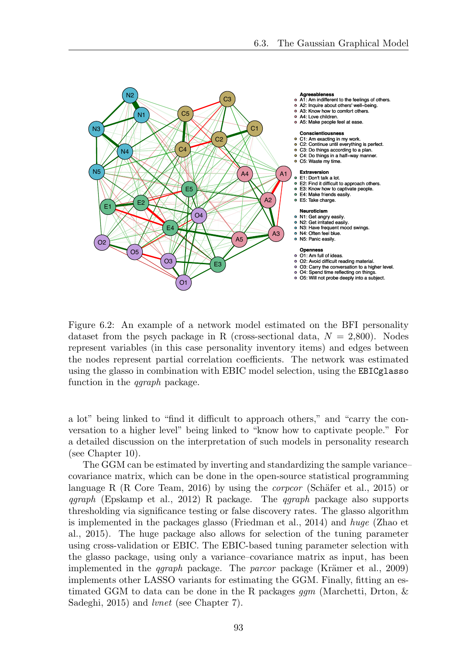

Figure 6.2: An example of a network model estimated on the BFI personality dataset from the psych package in R (cross-sectional data,  $N = 2,800$ ). Nodes represent variables (in this case personality inventory items) and edges between the nodes represent partial correlation coefficients. The network was estimated using the glasso in combination with EBIC model selection, using the EBICglasso function in the *qgraph* package.

a lot" being linked to "find it difficult to approach others," and "carry the conversation to a higher level" being linked to "know how to captivate people." For a detailed discussion on the interpretation of such models in personality research (see Chapter 10).

The GGM can be estimated by inverting and standardizing the sample variance– covariance matrix, which can be done in the open-source statistical programming language R (R Core Team, 2016) by using the *corpcor* (Schäfer et al., 2015) or *qgraph* (Epskamp et al., 2012) R package. The *qgraph* package also supports thresholding via significance testing or false discovery rates. The glasso algorithm is implemented in the packages glasso (Friedman et al., 2014) and *huge* (Zhao et al., 2015). The huge package also allows for selection of the tuning parameter using cross-validation or EBIC. The EBIC-based tuning parameter selection with the glasso package, using only a variance–covariance matrix as input, has been implemented in the *qgraph* package. The *parcor* package (Krämer et al., 2009) implements other LASSO variants for estimating the GGM. Finally, fitting an estimated GGM to data can be done in the R packages *ggm* (Marchetti, Drton, & Sadeghi, 2015) and *lvnet* (see Chapter 7).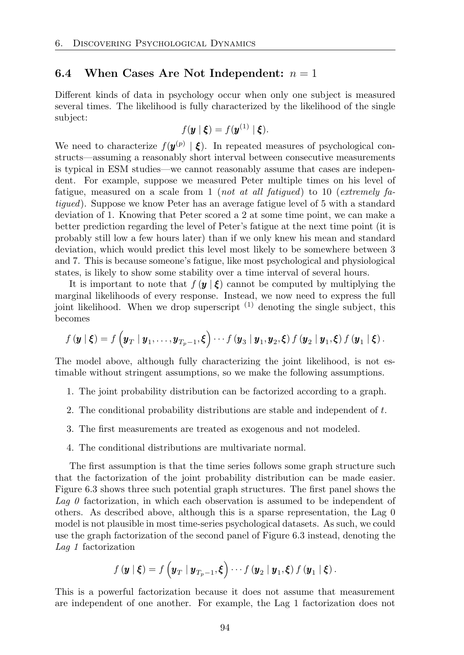#### 6.4 When Cases Are Not Independent:  $n = 1$

Different kinds of data in psychology occur when only one subject is measured several times. The likelihood is fully characterized by the likelihood of the single subject:

$$
f(\mathbf{y} \mid \boldsymbol{\xi}) = f(\mathbf{y}^{(1)} \mid \boldsymbol{\xi}).
$$

We need to characterize  $f(\mathbf{y}^{(p)} | \boldsymbol{\xi})$ . In repeated measures of psychological constructs—assuming a reasonably short interval between consecutive measurements is typical in ESM studies—we cannot reasonably assume that cases are independent. For example, suppose we measured Peter multiple times on his level of fatigue, measured on a scale from 1 (*not at all fatigued*) to 10 (*extremely fatigued*). Suppose we know Peter has an average fatigue level of 5 with a standard deviation of 1. Knowing that Peter scored a 2 at some time point, we can make a better prediction regarding the level of Peter's fatigue at the next time point (it is probably still low a few hours later) than if we only knew his mean and standard deviation, which would predict this level most likely to be somewhere between 3 and 7. This is because someone's fatigue, like most psychological and physiological states, is likely to show some stability over a time interval of several hours.

It is important to note that  $f(\mathbf{y} | \boldsymbol{\xi})$  cannot be computed by multiplying the marginal likelihoods of every response. Instead, we now need to express the full joint likelihood. When we drop superscript  $(1)$  denoting the single subject, this becomes

$$
f(\mathbf{y} \mid \boldsymbol{\xi}) = f\left(\mathbf{y}_T \mid \mathbf{y}_1, \ldots, \mathbf{y}_{T_p-1}, \boldsymbol{\xi}\right) \cdots f(\mathbf{y}_3 \mid \mathbf{y}_1, \mathbf{y}_2, \boldsymbol{\xi}) f(\mathbf{y}_2 \mid \mathbf{y}_1, \boldsymbol{\xi}) f(\mathbf{y}_1 \mid \boldsymbol{\xi}).
$$

The model above, although fully characterizing the joint likelihood, is not estimable without stringent assumptions, so we make the following assumptions.

- 1. The joint probability distribution can be factorized according to a graph.
- 2. The conditional probability distributions are stable and independent of *t*.
- 3. The first measurements are treated as exogenous and not modeled.
- 4. The conditional distributions are multivariate normal.

The first assumption is that the time series follows some graph structure such that the factorization of the joint probability distribution can be made easier. Figure 6.3 shows three such potential graph structures. The first panel shows the *Lag 0* factorization, in which each observation is assumed to be independent of others. As described above, although this is a sparse representation, the Lag 0 model is not plausible in most time-series psychological datasets. As such, we could use the graph factorization of the second panel of Figure 6.3 instead, denoting the *Lag 1* factorization

$$
f(\mathbf{y} \mid \boldsymbol{\xi}) = f\left(\mathbf{y}_T \mid \mathbf{y}_{T_p-1}, \boldsymbol{\xi}\right) \cdots f(\mathbf{y}_2 \mid \mathbf{y}_1, \boldsymbol{\xi}) f(\mathbf{y}_1 \mid \boldsymbol{\xi}).
$$

This is a powerful factorization because it does not assume that measurement are independent of one another. For example, the Lag 1 factorization does not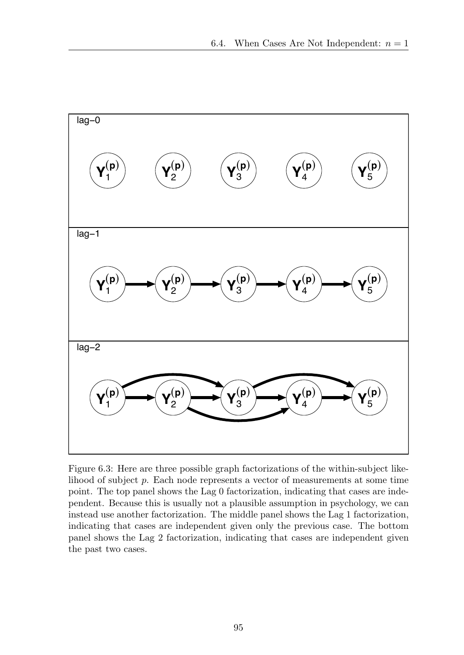

Figure 6.3: Here are three possible graph factorizations of the within-subject likelihood of subject *p*. Each node represents a vector of measurements at some time point. The top panel shows the Lag 0 factorization, indicating that cases are independent. Because this is usually not a plausible assumption in psychology, we can instead use another factorization. The middle panel shows the Lag 1 factorization, indicating that cases are independent given only the previous case. The bottom panel shows the Lag 2 factorization, indicating that cases are independent given the past two cases.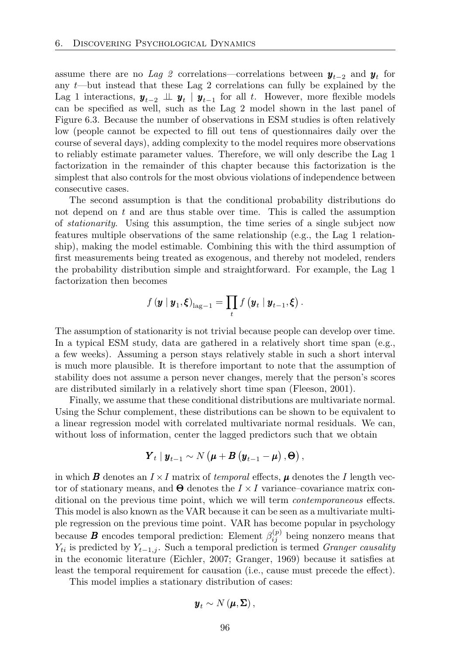assume there are no *Lag 2* correlations—correlations between  $y_{t-2}$  and  $y_t$  for any *t*—but instead that these Lag 2 correlations can fully be explained by the Lag 1 interactions,  $y$ <sub>*t*−2</sub>  $\perp \!\!\!\perp y$ <sup>*t*</sup>  $\parallel y$ <sub>*t*−1</sub> for all *t*. However, more flexible models can be specified as well, such as the Lag 2 model shown in the last panel of Figure 6.3. Because the number of observations in ESM studies is often relatively low (people cannot be expected to fill out tens of questionnaires daily over the course of several days), adding complexity to the model requires more observations to reliably estimate parameter values. Therefore, we will only describe the Lag 1 factorization in the remainder of this chapter because this factorization is the simplest that also controls for the most obvious violations of independence between consecutive cases.

The second assumption is that the conditional probability distributions do not depend on *t* and are thus stable over time. This is called the assumption of *stationarity*. Using this assumption, the time series of a single subject now features multiple observations of the same relationship (e.g., the Lag 1 relationship), making the model estimable. Combining this with the third assumption of first measurements being treated as exogenous, and thereby not modeled, renders the probability distribution simple and straightforward. For example, the Lag 1 factorization then becomes

$$
f(\mathbf{y} \mid \mathbf{y}_1, \boldsymbol{\xi})_{\text{lag}-1} = \prod_t f(\mathbf{y}_t \mid \mathbf{y}_{t-1}, \boldsymbol{\xi}).
$$

The assumption of stationarity is not trivial because people can develop over time. In a typical ESM study, data are gathered in a relatively short time span (e.g., a few weeks). Assuming a person stays relatively stable in such a short interval is much more plausible. It is therefore important to note that the assumption of stability does not assume a person never changes, merely that the person's scores are distributed similarly in a relatively short time span (Fleeson, 2001).

Finally, we assume that these conditional distributions are multivariate normal. Using the Schur complement, these distributions can be shown to be equivalent to a linear regression model with correlated multivariate normal residuals. We can, without loss of information, center the lagged predictors such that we obtain

$$
\boldsymbol{Y}_{t} | \boldsymbol{y}_{t-1} \sim N(\boldsymbol{\mu} + \boldsymbol{B}(\boldsymbol{y}_{t-1} - \boldsymbol{\mu}), \boldsymbol{\Theta}),
$$

in which *B* denotes an  $I \times I$  matrix of *temporal* effects,  $\mu$  denotes the *I* length vector of stationary means, and  $\Theta$  denotes the  $I \times I$  variance–covariance matrix conditional on the previous time point, which we will term *contemporaneous* effects. This model is also known as the VAR because it can be seen as a multivariate multiple regression on the previous time point. VAR has become popular in psychology because *B* encodes temporal prediction: Element  $\beta_{ij}^{(p)}$  being nonzero means that  $Y_{ti}$  is predicted by  $Y_{t-1,j}$ . Such a temporal prediction is termed *Granger causality* in the economic literature (Eichler, 2007; Granger, 1969) because it satisfies at least the temporal requirement for causation (i.e., cause must precede the effect).

This model implies a stationary distribution of cases:

$$
\boldsymbol{y}_t \sim N\left(\boldsymbol{\mu}, \boldsymbol{\Sigma}\right),
$$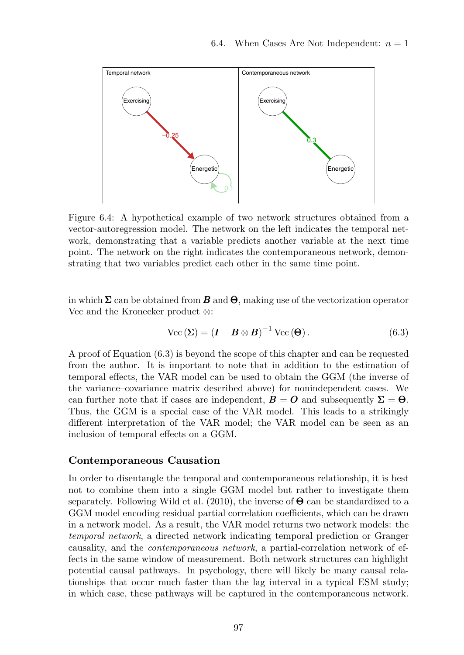

Figure 6.4: A hypothetical example of two network structures obtained from a vector-autoregression model. The network on the left indicates the temporal network, demonstrating that a variable predicts another variable at the next time point. The network on the right indicates the contemporaneous network, demonstrating that two variables predict each other in the same time point.

in which  $\Sigma$  can be obtained from *B* and  $\Theta$ , making use of the vectorization operator Vec and the Kronecker product *⌦*:

$$
\text{Vec}\left(\Sigma\right) = \left(\mathbf{I} - \mathbf{B} \otimes \mathbf{B}\right)^{-1} \text{Vec}\left(\mathbf{\Theta}\right). \tag{6.3}
$$

A proof of Equation (6.3) is beyond the scope of this chapter and can be requested from the author. It is important to note that in addition to the estimation of temporal effects, the VAR model can be used to obtain the GGM (the inverse of the variance–covariance matrix described above) for nonindependent cases. We can further note that if cases are independent,  $\mathbf{B} = \mathbf{O}$  and subsequently  $\Sigma = \Theta$ . Thus, the GGM is a special case of the VAR model. This leads to a strikingly different interpretation of the VAR model; the VAR model can be seen as an inclusion of temporal effects on a GGM.

#### Contemporaneous Causation

In order to disentangle the temporal and contemporaneous relationship, it is best not to combine them into a single GGM model but rather to investigate them separately. Following Wild et al. (2010), the inverse of  $\Theta$  can be standardized to a GGM model encoding residual partial correlation coefficients, which can be drawn in a network model. As a result, the VAR model returns two network models: the *temporal network*, a directed network indicating temporal prediction or Granger causality, and the *contemporaneous network*, a partial-correlation network of effects in the same window of measurement. Both network structures can highlight potential causal pathways. In psychology, there will likely be many causal relationships that occur much faster than the lag interval in a typical ESM study; in which case, these pathways will be captured in the contemporaneous network.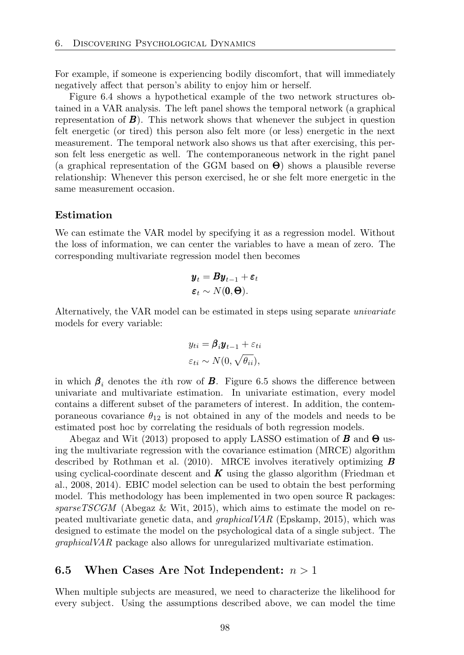For example, if someone is experiencing bodily discomfort, that will immediately negatively affect that person's ability to enjoy him or herself.

Figure 6.4 shows a hypothetical example of the two network structures obtained in a VAR analysis. The left panel shows the temporal network (a graphical representation of  $\bm{B}$ ). This network shows that whenever the subject in question felt energetic (or tired) this person also felt more (or less) energetic in the next measurement. The temporal network also shows us that after exercising, this person felt less energetic as well. The contemporaneous network in the right panel (a graphical representation of the GGM based on  $\Theta$ ) shows a plausible reverse relationship: Whenever this person exercised, he or she felt more energetic in the same measurement occasion.

#### Estimation

We can estimate the VAR model by specifying it as a regression model. Without the loss of information, we can center the variables to have a mean of zero. The corresponding multivariate regression model then becomes

$$
\boldsymbol{y}_t = \boldsymbol{B} \boldsymbol{y}_{t-1} + \boldsymbol{\varepsilon}_t
$$

$$
\boldsymbol{\varepsilon}_t \sim N(\mathbf{0}, \boldsymbol{\Theta}).
$$

Alternatively, the VAR model can be estimated in steps using separate *univariate* models for every variable:

$$
y_{ti} = \boldsymbol{\beta}_i \boldsymbol{y}_{t-1} + \varepsilon_{ti}
$$

$$
\varepsilon_{ti} \sim N(0, \sqrt{\theta_{ii}}),
$$

in which  $\beta$ <sub>*i*</sub> denotes the *i*th row of *B*. Figure 6.5 shows the difference between univariate and multivariate estimation. In univariate estimation, every model contains a different subset of the parameters of interest. In addition, the contemporaneous covariance  $\theta_{12}$  is not obtained in any of the models and needs to be estimated post hoc by correlating the residuals of both regression models.

Abegaz and Wit (2013) proposed to apply LASSO estimation of  $\bm{B}$  and  $\bm{\Theta}$  using the multivariate regression with the covariance estimation (MRCE) algorithm described by Rothman et al. (2010). MRCE involves iteratively optimizing *B* using cyclical-coordinate descent and *K* using the glasso algorithm (Friedman et al., 2008, 2014). EBIC model selection can be used to obtain the best performing model. This methodology has been implemented in two open source R packages: *sparseTSCGM* (Abegaz & Wit, 2015), which aims to estimate the model on repeated multivariate genetic data, and *graphicalVAR* (Epskamp, 2015), which was designed to estimate the model on the psychological data of a single subject. The *graphicalVAR* package also allows for unregularized multivariate estimation.

#### 6.5 When Cases Are Not Independent: *n >* 1

When multiple subjects are measured, we need to characterize the likelihood for every subject. Using the assumptions described above, we can model the time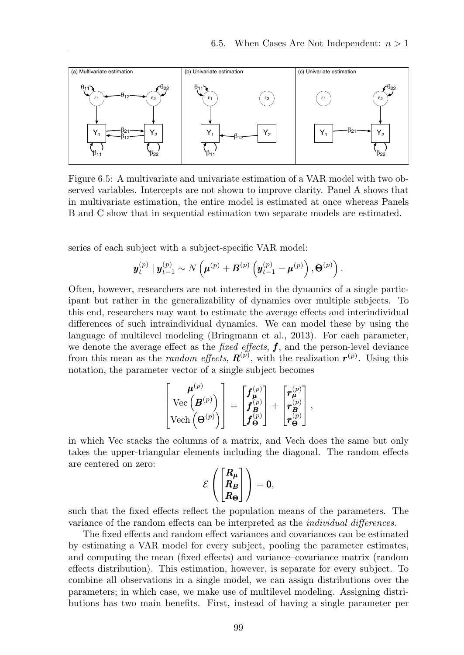

Figure 6.5: A multivariate and univariate estimation of a VAR model with two observed variables. Intercepts are not shown to improve clarity. Panel A shows that in multivariate estimation, the entire model is estimated at once whereas Panels B and C show that in sequential estimation two separate models are estimated.

series of each subject with a subject-specific VAR model:

$$
\boldsymbol{y}_t^{(p)}\mid \boldsymbol{y}_{t-1}^{(p)} \sim N\left(\boldsymbol{\mu}^{(p)} + \boldsymbol{B}^{(p)}\left(\boldsymbol{y}_{t-1}^{(p)} - \boldsymbol{\mu}^{(p)}\right), \boldsymbol{\Theta}^{(p)}\right).
$$

Often, however, researchers are not interested in the dynamics of a single participant but rather in the generalizability of dynamics over multiple subjects. To this end, researchers may want to estimate the average effects and interindividual differences of such intraindividual dynamics. We can model these by using the language of multilevel modeling (Bringmann et al., 2013). For each parameter, we denote the average effect as the *fixed effects*,  $f$ , and the person-level deviance from this mean as the *random effects*,  $\mathbf{R}^{(p)}$ , with the realization  $\mathbf{r}^{(p)}$ . Using this notation, the parameter vector of a single subject becomes

$$
\begin{bmatrix} \boldsymbol{\mu}^{(p)} \\ \text{Vec}\left(\boldsymbol{B}^{(p)}\right) \\ \text{Vech}\left(\boldsymbol{\Theta}^{(p)}\right) \end{bmatrix} = \begin{bmatrix} \boldsymbol{f}_{\boldsymbol{\mu}}^{(p)} \\ \boldsymbol{f}_{\boldsymbol{B}}^{(p)} \\ \boldsymbol{f}_{\boldsymbol{\Theta}}^{(p)} \end{bmatrix} + \begin{bmatrix} \boldsymbol{r}_{\boldsymbol{\mu}}^{(p)} \\ \boldsymbol{r}_{\boldsymbol{B}}^{(p)} \\ \boldsymbol{r}_{\boldsymbol{\Theta}}^{(p)} \end{bmatrix},
$$

in which Vec stacks the columns of a matrix, and Vech does the same but only takes the upper-triangular elements including the diagonal. The random effects are centered on zero:

$$
\mathcal{E}\left(\begin{bmatrix} R_\mu \\ R_B \\ R_\Theta \end{bmatrix}\right) = 0,
$$

such that the fixed effects reflect the population means of the parameters. The variance of the random effects can be interpreted as the *individual differences*.

The fixed effects and random effect variances and covariances can be estimated by estimating a VAR model for every subject, pooling the parameter estimates, and computing the mean (fixed effects) and variance–covariance matrix (random effects distribution). This estimation, however, is separate for every subject. To combine all observations in a single model, we can assign distributions over the parameters; in which case, we make use of multilevel modeling. Assigning distributions has two main benefits. First, instead of having a single parameter per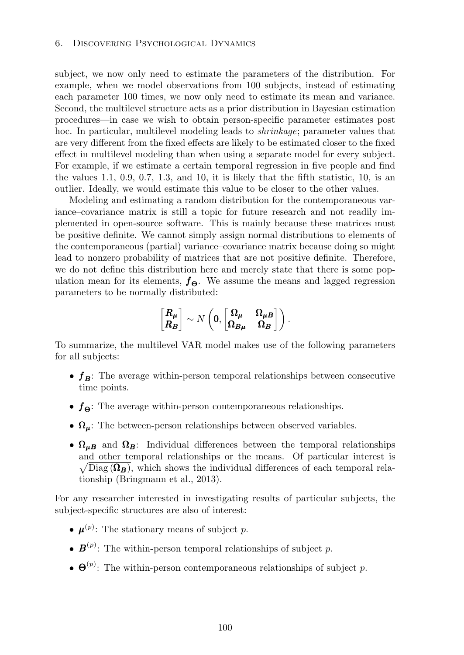subject, we now only need to estimate the parameters of the distribution. For example, when we model observations from 100 subjects, instead of estimating each parameter 100 times, we now only need to estimate its mean and variance. Second, the multilevel structure acts as a prior distribution in Bayesian estimation procedures—in case we wish to obtain person-specific parameter estimates post hoc. In particular, multilevel modeling leads to *shrinkage*; parameter values that are very different from the fixed effects are likely to be estimated closer to the fixed effect in multilevel modeling than when using a separate model for every subject. For example, if we estimate a certain temporal regression in five people and find the values 1*.*1, 0*.*9, 0*.*7, 1*.*3, and 10, it is likely that the fifth statistic, 10, is an outlier. Ideally, we would estimate this value to be closer to the other values.

Modeling and estimating a random distribution for the contemporaneous variance–covariance matrix is still a topic for future research and not readily implemented in open-source software. This is mainly because these matrices must be positive definite. We cannot simply assign normal distributions to elements of the contemporaneous (partial) variance–covariance matrix because doing so might lead to nonzero probability of matrices that are not positive definite. Therefore, we do not define this distribution here and merely state that there is some population mean for its elements,  $f_{\Theta}$ . We assume the means and lagged regression parameters to be normally distributed:

$$
\begin{bmatrix} R_{\mu} \\ R_{B} \end{bmatrix} \sim N\left(0, \begin{bmatrix} \Omega_{\mu} & \Omega_{\mu B} \\ \Omega_{B\mu} & \Omega_{B} \end{bmatrix}\right).
$$

To summarize, the multilevel VAR model makes use of the following parameters for all subjects:

- $f_B$ : The average within-person temporal relationships between consecutive time points.
- $f_{\Theta}$ : The average within-person contemporaneous relationships.
- $\Omega_{\mu}$ : The between-person relationships between observed variables.
- $\Omega_{\mu}$  and  $\Omega_B$ : Individual differences between the temporal relationships and other temporal relationships or the means. Of particular interest is  $\sqrt{\text{Diag}(\Omega_B)}$ , which shows the individual differences of each temporal relationship (Bringmann et al., 2013).

For any researcher interested in investigating results of particular subjects, the subject-specific structures are also of interest:

- $\mu^{(p)}$ : The stationary means of subject *p*.
- $\mathbf{B}^{(p)}$ : The within-person temporal relationships of subject *p*.
- $\Theta^{(p)}$ : The within-person contemporaneous relationships of subject *p*.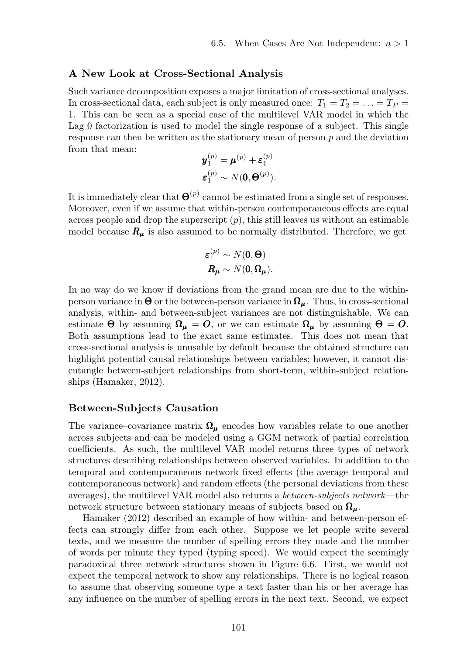#### A New Look at Cross-Sectional Analysis

Such variance decomposition exposes a major limitation of cross-sectional analyses. In cross-sectional data, each subject is only measured once:  $T_1 = T_2 = \ldots = T_P$ 1. This can be seen as a special case of the multilevel VAR model in which the Lag 0 factorization is used to model the single response of a subject. This single response can then be written as the stationary mean of person *p* and the deviation from that mean:

$$
\mathbf{y}_1^{(p)} = \mathbf{\mu}^{(p)} + \boldsymbol{\varepsilon}_1^{(p)}
$$

$$
\boldsymbol{\varepsilon}_1^{(p)} \sim N(\mathbf{0}, \boldsymbol{\Theta}^{(p)}).
$$

It is immediately clear that  $\Theta^{(p)}$  cannot be estimated from a single set of responses. Moreover, even if we assume that within-person contemporaneous effects are equal across people and drop the superscript (*p*), this still leaves us without an estimable model because  $R_{\mu}$  is also assumed to be normally distributed. Therefore, we get

$$
\varepsilon_1^{(p)} \sim N(\mathbf{0}, \mathbf{\Theta})
$$

$$
\mathbf{R}_{\mu} \sim N(\mathbf{0}, \mathbf{\Omega}_{\mu}).
$$

In no way do we know if deviations from the grand mean are due to the withinperson variance in  $\Theta$  or the between-person variance in  $\Omega_{\mu}$ . Thus, in cross-sectional analysis, within- and between-subject variances are not distinguishable. We can estimate  $\Theta$  by assuming  $\Omega_{\mu} = O$ , or we can estimate  $\Omega_{\mu}$  by assuming  $\Theta = O$ . Both assumptions lead to the exact same estimates. This does not mean that cross-sectional analysis is unusable by default because the obtained structure can highlight potential causal relationships between variables; however, it cannot disentangle between-subject relationships from short-term, within-subject relationships (Hamaker, 2012).

#### Between-Subjects Causation

The variance–covariance matrix  $\Omega_{\mu}$  encodes how variables relate to one another across subjects and can be modeled using a GGM network of partial correlation coefficients. As such, the multilevel VAR model returns three types of network structures describing relationships between observed variables. In addition to the temporal and contemporaneous network fixed effects (the average temporal and contemporaneous network) and random effects (the personal deviations from these averages), the multilevel VAR model also returns a *between-subjects network*—the network structure between stationary means of subjects based on  $\Omega_{\mu}$ .

Hamaker (2012) described an example of how within- and between-person effects can strongly differ from each other. Suppose we let people write several texts, and we measure the number of spelling errors they made and the number of words per minute they typed (typing speed). We would expect the seemingly paradoxical three network structures shown in Figure 6.6. First, we would not expect the temporal network to show any relationships. There is no logical reason to assume that observing someone type a text faster than his or her average has any influence on the number of spelling errors in the next text. Second, we expect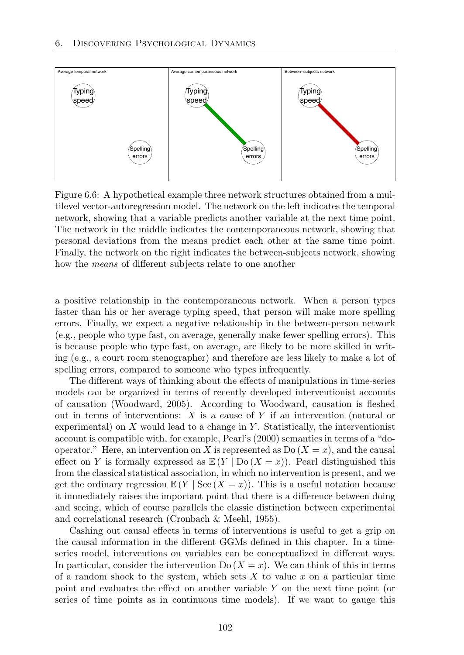

Figure 6.6: A hypothetical example three network structures obtained from a multilevel vector-autoregression model. The network on the left indicates the temporal network, showing that a variable predicts another variable at the next time point. The network in the middle indicates the contemporaneous network, showing that personal deviations from the means predict each other at the same time point. Finally, the network on the right indicates the between-subjects network, showing how the *means* of different subjects relate to one another

a positive relationship in the contemporaneous network. When a person types faster than his or her average typing speed, that person will make more spelling errors. Finally, we expect a negative relationship in the between-person network (e.g., people who type fast, on average, generally make fewer spelling errors). This is because people who type fast, on average, are likely to be more skilled in writing (e.g., a court room stenographer) and therefore are less likely to make a lot of spelling errors, compared to someone who types infrequently.

The different ways of thinking about the effects of manipulations in time-series models can be organized in terms of recently developed interventionist accounts of causation (Woodward, 2005). According to Woodward, causation is fleshed out in terms of interventions: *X* is a cause of *Y* if an intervention (natural or experimental) on *X* would lead to a change in *Y* . Statistically, the interventionist account is compatible with, for example, Pearl's (2000) semantics in terms of a "dooperator." Here, an intervention on *X* is represented as  $Do(X = x)$ , and the causal effect on *Y* is formally expressed as  $\mathbb{E}(Y | Do (X = x))$ . Pearl distinguished this from the classical statistical association, in which no intervention is present, and we get the ordinary regression  $\mathbb{E}(Y | \text{See } (X = x)).$  This is a useful notation because it immediately raises the important point that there is a difference between doing and seeing, which of course parallels the classic distinction between experimental and correlational research (Cronbach & Meehl, 1955).

Cashing out causal effects in terms of interventions is useful to get a grip on the causal information in the different GGMs defined in this chapter. In a timeseries model, interventions on variables can be conceptualized in different ways. In particular, consider the intervention  $Do(X = x)$ . We can think of this in terms of a random shock to the system, which sets *X* to value *x* on a particular time point and evaluates the effect on another variable Y on the next time point (or series of time points as in continuous time models). If we want to gauge this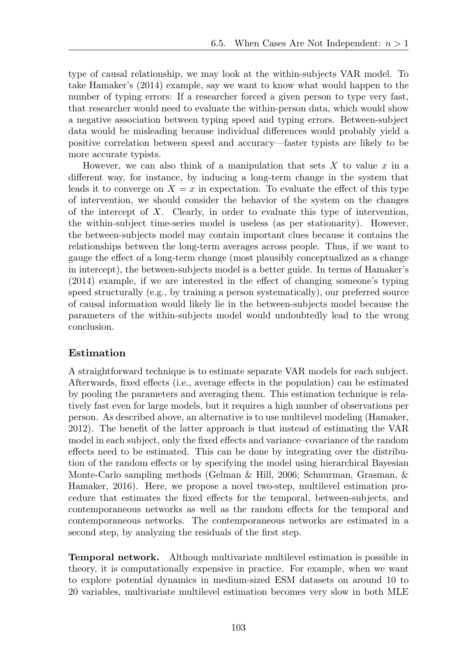type of causal relationship, we may look at the within-subjects VAR model. To take Hamaker's (2014) example, say we want to know what would happen to the number of typing errors: If a researcher forced a given person to type very fast, that researcher would need to evaluate the within-person data, which would show a negative association between typing speed and typing errors. Between-subject data would be misleading because individual differences would probably yield a positive correlation between speed and accuracy—faster typists are likely to be more accurate typists.

However, we can also think of a manipulation that sets *X* to value *x* in a different way, for instance, by inducing a long-term change in the system that leads it to converge on  $X = x$  in expectation. To evaluate the effect of this type of intervention, we should consider the behavior of the system on the changes of the intercept of *X*. Clearly, in order to evaluate this type of intervention, the within-subject time-series model is useless (as per stationarity). However, the between-subjects model may contain important clues because it contains the relationships between the long-term averages across people. Thus, if we want to gauge the effect of a long-term change (most plausibly conceptualized as a change in intercept), the between-subjects model is a better guide. In terms of Hamaker's  $(2014)$  example, if we are interested in the effect of changing someone's typing speed structurally (e.g., by training a person systematically), our preferred source of causal information would likely lie in the between-subjects model because the parameters of the within-subjects model would undoubtedly lead to the wrong conclusion.

# Estimation

A straightforward technique is to estimate separate VAR models for each subject. Afterwards, fixed effects (i.e., average effects in the population) can be estimated by pooling the parameters and averaging them. This estimation technique is relatively fast even for large models, but it requires a high number of observations per person. As described above, an alternative is to use multilevel modeling (Hamaker, 2012). The benefit of the latter approach is that instead of estimating the VAR model in each subject, only the fixed effects and variance–covariance of the random effects need to be estimated. This can be done by integrating over the distribution of the random effects or by specifying the model using hierarchical Bayesian Monte-Carlo sampling methods (Gelman & Hill, 2006; Schuurman, Grasman, & Hamaker, 2016). Here, we propose a novel two-step, multilevel estimation procedure that estimates the fixed effects for the temporal, between-subjects, and contemporaneous networks as well as the random effects for the temporal and contemporaneous networks. The contemporaneous networks are estimated in a second step, by analyzing the residuals of the first step.

Temporal network. Although multivariate multilevel estimation is possible in theory, it is computationally expensive in practice. For example, when we want to explore potential dynamics in medium-sized ESM datasets on around 10 to 20 variables, multivariate multilevel estimation becomes very slow in both MLE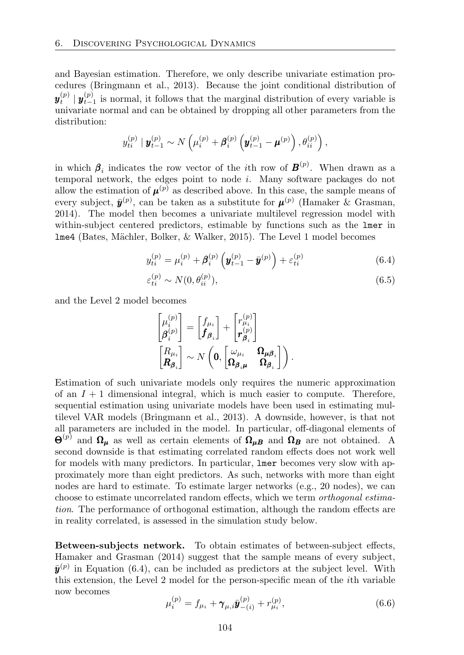and Bayesian estimation. Therefore, we only describe univariate estimation procedures (Bringmann et al., 2013). Because the joint conditional distribution of  $y_t^{(p)} \mid y_{t-1}^{(p)}$  is normal, it follows that the marginal distribution of every variable is univariate normal and can be obtained by dropping all other parameters from the distribution:

$$
y_{ti}^{(p)} | y_{t-1}^{(p)} \sim N\left(\mu_i^{(p)} + \beta_i^{(p)} \left(y_{t-1}^{(p)} - \mu^{(p)}\right), \theta_{ii}^{(p)}\right),
$$

in which  $\beta_i$  indicates the row vector of the *i*th row of  $\mathbf{B}^{(p)}$ . When drawn as a temporal network, the edges point to node *i*. Many software packages do not allow the estimation of  $\mu^{(p)}$  as described above. In this case, the sample means of every subject,  $\bar{\bm{y}}^{(p)}$ , can be taken as a substitute for  $\bm{\mu}^{(p)}$  (Hamaker & Grasman, 2014). The model then becomes a univariate multilevel regression model with within-subject centered predictors, estimable by functions such as the lmer in lme4 (Bates, M¨achler, Bolker, & Walker, 2015). The Level 1 model becomes

$$
y_{ti}^{(p)} = \mu_i^{(p)} + \beta_i^{(p)} \left( \mathbf{y}_{t-1}^{(p)} - \bar{\mathbf{y}}^{(p)} \right) + \varepsilon_{ti}^{(p)}
$$
(6.4)

$$
\varepsilon_{ti}^{(p)} \sim N(0, \theta_{ii}^{(p)}),\tag{6.5}
$$

and the Level 2 model becomes

$$
\begin{bmatrix} \mu_i^{(p)} \\ \beta_i^{(p)} \end{bmatrix} = \begin{bmatrix} f_{\mu_i} \\ f_{\beta_i} \end{bmatrix} + \begin{bmatrix} r_{\mu_i}^{(p)} \\ r_{\beta_i}^{(p)} \end{bmatrix}
$$

$$
\begin{bmatrix} R_{\mu_i} \\ R_{\beta_i} \end{bmatrix} \sim N\left(\mathbf{0}, \begin{bmatrix} \omega_{\mu_i} & \mathbf{\Omega}_{\mu\beta_i} \\ \mathbf{\Omega}_{\beta_i\mu} & \mathbf{\Omega}_{\beta_i} \end{bmatrix}\right).
$$

Estimation of such univariate models only requires the numeric approximation of an  $I + 1$  dimensional integral, which is much easier to compute. Therefore, sequential estimation using univariate models have been used in estimating multilevel VAR models (Bringmann et al., 2013). A downside, however, is that not all parameters are included in the model. In particular, off-diagonal elements of  $\Theta^{(p)}$  and  $\Omega_{\mu}$  as well as certain elements of  $\Omega_{\mu}$  and  $\Omega_{B}$  are not obtained. A second downside is that estimating correlated random effects does not work well for models with many predictors. In particular, lmer becomes very slow with approximately more than eight predictors. As such, networks with more than eight nodes are hard to estimate. To estimate larger networks (e.g., 20 nodes), we can choose to estimate uncorrelated random effects, which we term *orthogonal estimation*. The performance of orthogonal estimation, although the random effects are in reality correlated, is assessed in the simulation study below.

Between-subjects network. To obtain estimates of between-subject effects, Hamaker and Grasman (2014) suggest that the sample means of every subject,  $\bar{\mathbf{y}}^{(p)}$  in Equation (6.4), can be included as predictors at the subject level. With this extension, the Level 2 model for the person-specific mean of the *i*th variable now becomes

$$
\mu_i^{(p)} = f_{\mu_i} + \gamma_{\mu,i} \bar{\mathbf{y}}_{-(i)}^{(p)} + r_{\mu_i}^{(p)},
$$
\n(6.6)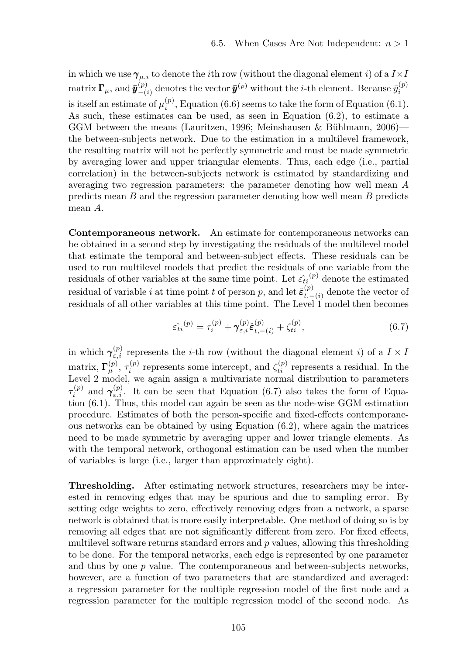in which we use  $\gamma_{\mu,i}$  to denote the *i*th row (without the diagonal element *i*) of a  $I \times I$  $\text{matrix } \mathbf{\Gamma}_{\mu}, \text{ and } \bar{\mathbf{y}}_{-(i)}^{(p)} \text{ denotes the vector } \bar{\mathbf{y}}_{(p)}^{(p)} \text{ without the } i\text{-th element. Because } \bar{y}_{i}^{(p)}$ is itself an estimate of  $\mu_i^{(p)}$ , Equation (6.6) seems to take the form of Equation (6.1). As such, these estimates can be used, as seen in Equation (6.2), to estimate a GGM between the means (Lauritzen, 1996; Meinshausen & Bühlmann, 2006) the between-subjects network. Due to the estimation in a multilevel framework, the resulting matrix will not be perfectly symmetric and must be made symmetric by averaging lower and upper triangular elements. Thus, each edge (i.e., partial correlation) in the between-subjects network is estimated by standardizing and averaging two regression parameters: the parameter denoting how well mean *A* predicts mean *B* and the regression parameter denoting how well mean *B* predicts mean *A*.

Contemporaneous network. An estimate for contemporaneous networks can be obtained in a second step by investigating the residuals of the multilevel model that estimate the temporal and between-subject effects. These residuals can be used to run multilevel models that predict the residuals of one variable from the residuals of other variables at the same time point. Let  $\hat{\varepsilon}_{ti}^{(p)}$  denote the estimated residual of variable *i* at time point *t* of person *p*, and let  $\hat{\epsilon}^{(p)}_{t,-(i)}$  denote the vector of residuals of all other variables at this time point. The Level 1 model then becomes

$$
\hat{\varepsilon}_{ti}^{(p)} = \tau_i^{(p)} + \gamma_{\varepsilon,i}^{(p)} \hat{\varepsilon}_{t,-(i)}^{(p)} + \zeta_{ti}^{(p)},\tag{6.7}
$$

in which  $\gamma_{\varepsilon,i}^{(p)}$  represents the *i*-th row (without the diagonal element *i*) of a  $I \times I$ matrix,  $\Gamma_{\mu}^{(p)}$ ,  $\tau_i^{(p)}$  represents some intercept, and  $\zeta_{ti}^{(p)}$  represents a residual. In the Level 2 model, we again assign a multivariate normal distribution to parameters  $\tau_i^{(p)}$  and  $\gamma_{\varepsilon,i}^{(p)}$ . It can be seen that Equation (6.7) also takes the form of Equation (6.1). Thus, this model can again be seen as the node-wise GGM estimation procedure. Estimates of both the person-specific and fixed-effects contemporaneous networks can be obtained by using Equation (6.2), where again the matrices need to be made symmetric by averaging upper and lower triangle elements. As with the temporal network, orthogonal estimation can be used when the number of variables is large (i.e., larger than approximately eight).

Thresholding. After estimating network structures, researchers may be interested in removing edges that may be spurious and due to sampling error. By setting edge weights to zero, effectively removing edges from a network, a sparse network is obtained that is more easily interpretable. One method of doing so is by removing all edges that are not significantly different from zero. For fixed effects, multilevel software returns standard errors and *p* values, allowing this thresholding to be done. For the temporal networks, each edge is represented by one parameter and thus by one *p* value. The contemporaneous and between-subjects networks, however, are a function of two parameters that are standardized and averaged: a regression parameter for the multiple regression model of the first node and a regression parameter for the multiple regression model of the second node. As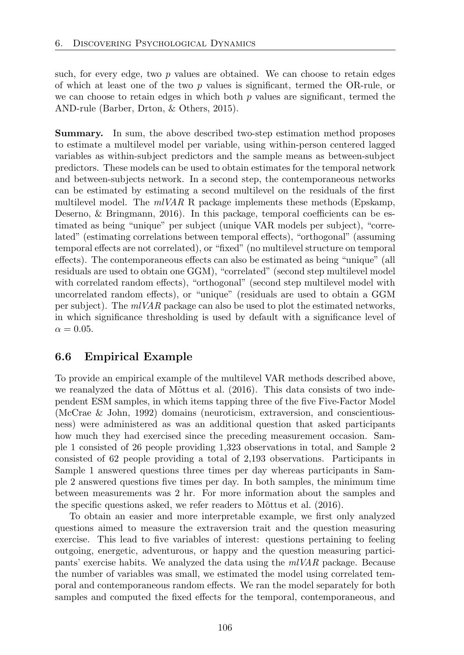such, for every edge, two *p* values are obtained. We can choose to retain edges of which at least one of the two *p* values is significant, termed the OR-rule, or we can choose to retain edges in which both *p* values are significant, termed the AND-rule (Barber, Drton, & Others, 2015).

Summary. In sum, the above described two-step estimation method proposes to estimate a multilevel model per variable, using within-person centered lagged variables as within-subject predictors and the sample means as between-subject predictors. These models can be used to obtain estimates for the temporal network and between-subjects network. In a second step, the contemporaneous networks can be estimated by estimating a second multilevel on the residuals of the first multilevel model. The *mlVAR* R package implements these methods (Epskamp, Deserno, & Bringmann, 2016). In this package, temporal coefficients can be estimated as being "unique" per subject (unique VAR models per subject), "correlated" (estimating correlations between temporal effects), "orthogonal" (assuming temporal effects are not correlated), or "fixed" (no multilevel structure on temporal effects). The contemporaneous effects can also be estimated as being "unique" (all residuals are used to obtain one GGM), "correlated" (second step multilevel model with correlated random effects), "orthogonal" (second step multilevel model with uncorrelated random effects), or "unique" (residuals are used to obtain a GGM per subject). The *mlVAR* package can also be used to plot the estimated networks, in which significance thresholding is used by default with a significance level of  $\alpha = 0.05$ .

## 6.6 Empirical Example

To provide an empirical example of the multilevel VAR methods described above, we reanalyzed the data of M $\delta$ ttus et al. (2016). This data consists of two independent ESM samples, in which items tapping three of the five Five-Factor Model (McCrae & John, 1992) domains (neuroticism, extraversion, and conscientiousness) were administered as was an additional question that asked participants how much they had exercised since the preceding measurement occasion. Sample 1 consisted of 26 people providing 1*,*323 observations in total, and Sample 2 consisted of 62 people providing a total of 2*,*193 observations. Participants in Sample 1 answered questions three times per day whereas participants in Sample 2 answered questions five times per day. In both samples, the minimum time between measurements was 2 hr. For more information about the samples and the specific questions asked, we refer readers to Mõttus et al. (2016).

To obtain an easier and more interpretable example, we first only analyzed questions aimed to measure the extraversion trait and the question measuring exercise. This lead to five variables of interest: questions pertaining to feeling outgoing, energetic, adventurous, or happy and the question measuring participants' exercise habits. We analyzed the data using the *mlVAR* package. Because the number of variables was small, we estimated the model using correlated temporal and contemporaneous random effects. We ran the model separately for both samples and computed the fixed effects for the temporal, contemporaneous, and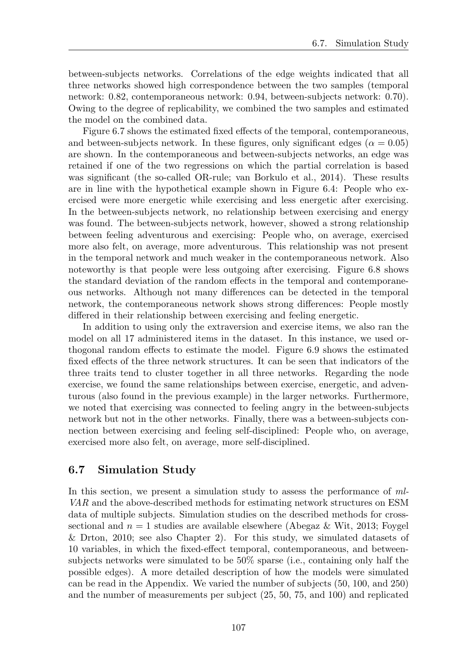between-subjects networks. Correlations of the edge weights indicated that all three networks showed high correspondence between the two samples (temporal network: 0.82, contemporaneous network: 0.94, between-subjects network: 0.70). Owing to the degree of replicability, we combined the two samples and estimated the model on the combined data.

Figure 6.7 shows the estimated fixed effects of the temporal, contemporaneous, and between-subjects network. In these figures, only significant edges ( $\alpha = 0.05$ ) are shown. In the contemporaneous and between-subjects networks, an edge was retained if one of the two regressions on which the partial correlation is based was significant (the so-called OR-rule; van Borkulo et al., 2014). These results are in line with the hypothetical example shown in Figure 6.4: People who exercised were more energetic while exercising and less energetic after exercising. In the between-subjects network, no relationship between exercising and energy was found. The between-subjects network, however, showed a strong relationship between feeling adventurous and exercising: People who, on average, exercised more also felt, on average, more adventurous. This relationship was not present in the temporal network and much weaker in the contemporaneous network. Also noteworthy is that people were less outgoing after exercising. Figure 6.8 shows the standard deviation of the random effects in the temporal and contemporaneous networks. Although not many differences can be detected in the temporal network, the contemporaneous network shows strong differences: People mostly differed in their relationship between exercising and feeling energetic.

In addition to using only the extraversion and exercise items, we also ran the model on all 17 administered items in the dataset. In this instance, we used orthogonal random effects to estimate the model. Figure 6.9 shows the estimated fixed effects of the three network structures. It can be seen that indicators of the three traits tend to cluster together in all three networks. Regarding the node exercise, we found the same relationships between exercise, energetic, and adventurous (also found in the previous example) in the larger networks. Furthermore, we noted that exercising was connected to feeling angry in the between-subjects network but not in the other networks. Finally, there was a between-subjects connection between exercising and feeling self-disciplined: People who, on average, exercised more also felt, on average, more self-disciplined.

## 6.7 Simulation Study

In this section, we present a simulation study to assess the performance of *ml-VAR* and the above-described methods for estimating network structures on ESM data of multiple subjects. Simulation studies on the described methods for crosssectional and  $n = 1$  studies are available elsewhere (Abegaz & Wit, 2013; Foygel & Drton, 2010; see also Chapter 2). For this study, we simulated datasets of 10 variables, in which the fixed-effect temporal, contemporaneous, and betweensubjects networks were simulated to be 50% sparse (i.e., containing only half the possible edges). A more detailed description of how the models were simulated can be read in the Appendix. We varied the number of subjects (50, 100, and 250) and the number of measurements per subject (25, 50, 75, and 100) and replicated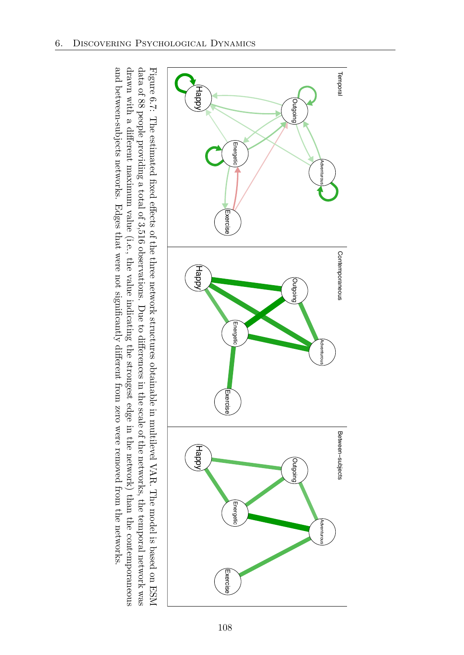

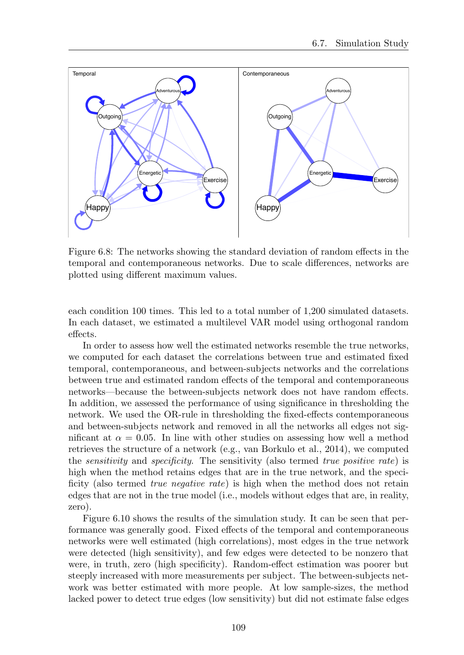

Figure 6.8: The networks showing the standard deviation of random effects in the temporal and contemporaneous networks. Due to scale differences, networks are plotted using different maximum values.

each condition 100 times. This led to a total number of 1,200 simulated datasets. In each dataset, we estimated a multilevel VAR model using orthogonal random effects.

In order to assess how well the estimated networks resemble the true networks, we computed for each dataset the correlations between true and estimated fixed temporal, contemporaneous, and between-subjects networks and the correlations between true and estimated random effects of the temporal and contemporaneous networks—because the between-subjects network does not have random effects. In addition, we assessed the performance of using significance in thresholding the network. We used the OR-rule in thresholding the fixed-effects contemporaneous and between-subjects network and removed in all the networks all edges not significant at  $\alpha = 0.05$ . In line with other studies on assessing how well a method retrieves the structure of a network (e.g., van Borkulo et al., 2014), we computed the *sensitivity* and *specificity*. The sensitivity (also termed *true positive rate*) is high when the method retains edges that are in the true network, and the specificity (also termed *true negative rate*) is high when the method does not retain edges that are not in the true model (i.e., models without edges that are, in reality, zero).

Figure 6.10 shows the results of the simulation study. It can be seen that performance was generally good. Fixed effects of the temporal and contemporaneous networks were well estimated (high correlations), most edges in the true network were detected (high sensitivity), and few edges were detected to be nonzero that were, in truth, zero (high specificity). Random-effect estimation was poorer but steeply increased with more measurements per subject. The between-subjects network was better estimated with more people. At low sample-sizes, the method lacked power to detect true edges (low sensitivity) but did not estimate false edges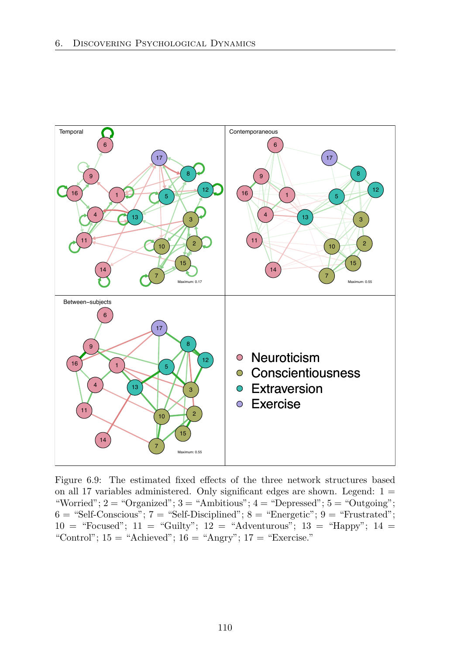

Figure 6.9: The estimated fixed effects of the three network structures based on all 17 variables administered. Only significant edges are shown. Legend:  $1 =$ "Worried";  $2 =$  "Organized";  $3 =$  "Ambitious";  $4 =$  "Depressed";  $5 =$  "Outgoing";  $6 = "Self\text{-Conscious"; } 7 = "Self\text{-Disciplined"; } 8 = "Energetic"; 9 = "Frustrated";$  $10 =$  "Focused";  $11 =$  "Guilty";  $12 =$  "Adventurous";  $13 =$  "Happy";  $14 =$ "Control";  $15 =$  "Achieved";  $16 =$  "Angry";  $17 =$  "Exercise."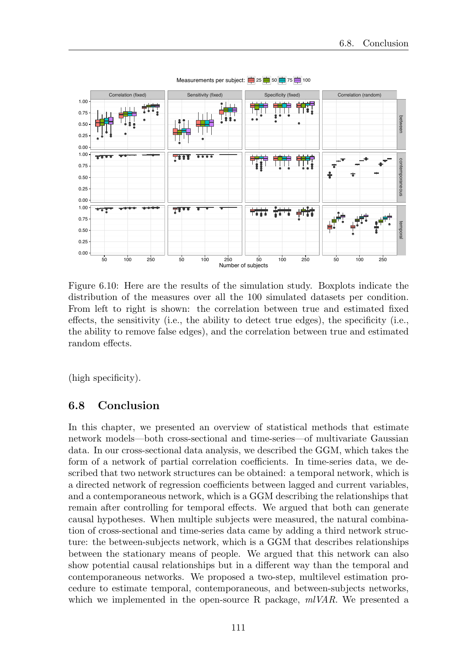

Measurements per subject:  $\frac{1}{25}$  25  $\frac{1}{25}$  50  $\frac{1}{27}$  75  $\frac{1}{21}$  100

Figure 6.10: Here are the results of the simulation study. Boxplots indicate the distribution of the measures over all the 100 simulated datasets per condition. From left to right is shown: the correlation between true and estimated fixed effects, the sensitivity (i.e., the ability to detect true edges), the specificity (i.e., the ability to remove false edges), and the correlation between true and estimated random effects.

(high specificity).

#### 6.8 Conclusion

In this chapter, we presented an overview of statistical methods that estimate network models—both cross-sectional and time-series—of multivariate Gaussian data. In our cross-sectional data analysis, we described the GGM, which takes the form of a network of partial correlation coefficients. In time-series data, we described that two network structures can be obtained: a temporal network, which is a directed network of regression coefficients between lagged and current variables, and a contemporaneous network, which is a GGM describing the relationships that remain after controlling for temporal effects. We argued that both can generate causal hypotheses. When multiple subjects were measured, the natural combination of cross-sectional and time-series data came by adding a third network structure: the between-subjects network, which is a GGM that describes relationships between the stationary means of people. We argued that this network can also show potential causal relationships but in a different way than the temporal and contemporaneous networks. We proposed a two-step, multilevel estimation procedure to estimate temporal, contemporaneous, and between-subjects networks, which we implemented in the open-source R package, *mlVAR*. We presented a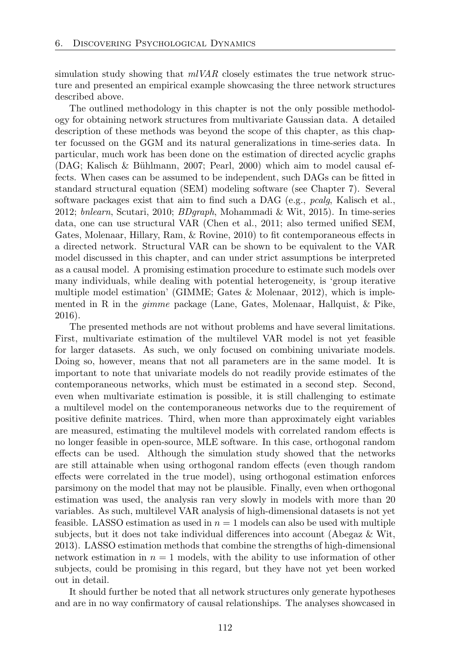simulation study showing that *mlVAR* closely estimates the true network structure and presented an empirical example showcasing the three network structures described above.

The outlined methodology in this chapter is not the only possible methodology for obtaining network structures from multivariate Gaussian data. A detailed description of these methods was beyond the scope of this chapter, as this chapter focussed on the GGM and its natural generalizations in time-series data. In particular, much work has been done on the estimation of directed acyclic graphs  $(DAG; Kalisch & Bühlmann, 2007; Pearl, 2000)$  which aim to model causal effects. When cases can be assumed to be independent, such DAGs can be fitted in standard structural equation (SEM) modeling software (see Chapter 7). Several software packages exist that aim to find such a DAG (e.g., *pcalg*, Kalisch et al., 2012; *bnlearn*, Scutari, 2010; *BDgraph*, Mohammadi & Wit, 2015). In time-series data, one can use structural VAR (Chen et al., 2011; also termed unified SEM, Gates, Molenaar, Hillary, Ram,  $\&$  Rovine, 2010) to fit contemporaneous effects in a directed network. Structural VAR can be shown to be equivalent to the VAR model discussed in this chapter, and can under strict assumptions be interpreted as a causal model. A promising estimation procedure to estimate such models over many individuals, while dealing with potential heterogeneity, is 'group iterative multiple model estimation' (GIMME; Gates & Molenaar, 2012), which is implemented in R in the *gimme* package (Lane, Gates, Molenaar, Hallquist, & Pike, 2016).

The presented methods are not without problems and have several limitations. First, multivariate estimation of the multilevel VAR model is not yet feasible for larger datasets. As such, we only focused on combining univariate models. Doing so, however, means that not all parameters are in the same model. It is important to note that univariate models do not readily provide estimates of the contemporaneous networks, which must be estimated in a second step. Second, even when multivariate estimation is possible, it is still challenging to estimate a multilevel model on the contemporaneous networks due to the requirement of positive definite matrices. Third, when more than approximately eight variables are measured, estimating the multilevel models with correlated random effects is no longer feasible in open-source, MLE software. In this case, orthogonal random effects can be used. Although the simulation study showed that the networks are still attainable when using orthogonal random effects (even though random effects were correlated in the true model), using orthogonal estimation enforces parsimony on the model that may not be plausible. Finally, even when orthogonal estimation was used, the analysis ran very slowly in models with more than 20 variables. As such, multilevel VAR analysis of high-dimensional datasets is not yet feasible. LASSO estimation as used in  $n = 1$  models can also be used with multiple subjects, but it does not take individual differences into account (Abegaz  $\&$  Wit, 2013). LASSO estimation methods that combine the strengths of high-dimensional network estimation in  $n = 1$  models, with the ability to use information of other subjects, could be promising in this regard, but they have not yet been worked out in detail.

It should further be noted that all network structures only generate hypotheses and are in no way confirmatory of causal relationships. The analyses showcased in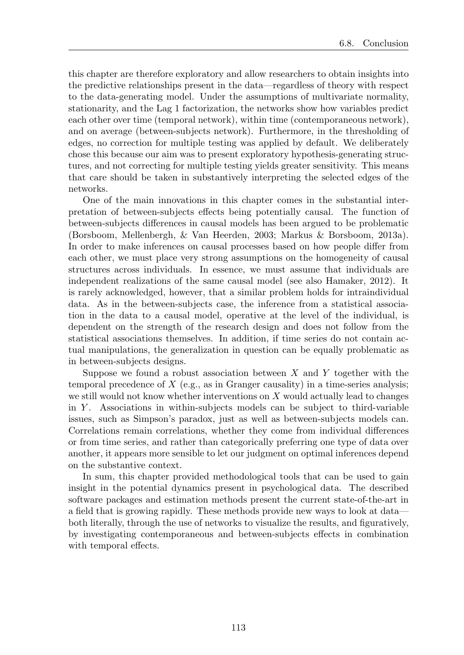this chapter are therefore exploratory and allow researchers to obtain insights into the predictive relationships present in the data—regardless of theory with respect to the data-generating model. Under the assumptions of multivariate normality, stationarity, and the Lag 1 factorization, the networks show how variables predict each other over time (temporal network), within time (contemporaneous network), and on average (between-subjects network). Furthermore, in the thresholding of edges, no correction for multiple testing was applied by default. We deliberately chose this because our aim was to present exploratory hypothesis-generating structures, and not correcting for multiple testing yields greater sensitivity. This means that care should be taken in substantively interpreting the selected edges of the networks.

One of the main innovations in this chapter comes in the substantial interpretation of between-subjects effects being potentially causal. The function of between-subjects differences in causal models has been argued to be problematic (Borsboom, Mellenbergh, & Van Heerden, 2003; Markus & Borsboom, 2013a). In order to make inferences on causal processes based on how people differ from each other, we must place very strong assumptions on the homogeneity of causal structures across individuals. In essence, we must assume that individuals are independent realizations of the same causal model (see also Hamaker, 2012). It is rarely acknowledged, however, that a similar problem holds for intraindividual data. As in the between-subjects case, the inference from a statistical association in the data to a causal model, operative at the level of the individual, is dependent on the strength of the research design and does not follow from the statistical associations themselves. In addition, if time series do not contain actual manipulations, the generalization in question can be equally problematic as in between-subjects designs.

Suppose we found a robust association between *X* and *Y* together with the temporal precedence of  $X$  (e.g., as in Granger causality) in a time-series analysis; we still would not know whether interventions on *X* would actually lead to changes in *Y* . Associations in within-subjects models can be subject to third-variable issues, such as Simpson's paradox, just as well as between-subjects models can. Correlations remain correlations, whether they come from individual differences or from time series, and rather than categorically preferring one type of data over another, it appears more sensible to let our judgment on optimal inferences depend on the substantive context.

In sum, this chapter provided methodological tools that can be used to gain insight in the potential dynamics present in psychological data. The described software packages and estimation methods present the current state-of-the-art in a field that is growing rapidly. These methods provide new ways to look at data both literally, through the use of networks to visualize the results, and figuratively, by investigating contemporaneous and between-subjects e↵ects in combination with temporal effects.